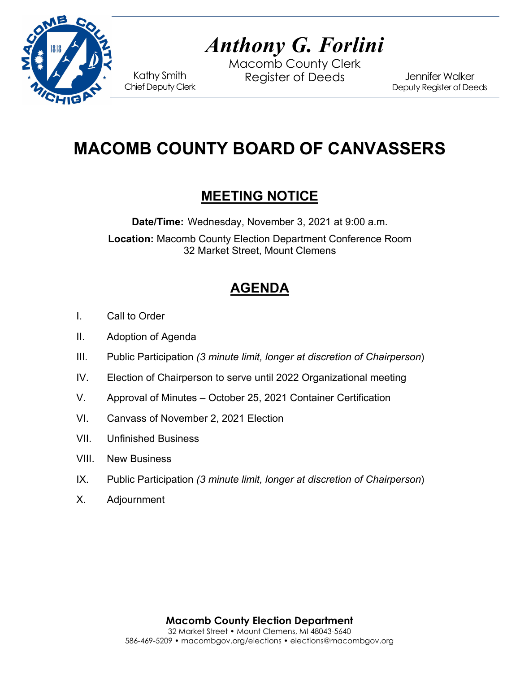

# *Anthony G. Forlini*

Macomb County Clerk Kathy Smith Register of Deeds<br>Chief Deputy Clerk

Jennifer Walker Deputy Register of Deeds

## **MACOMB COUNTY BOARD OF CANVASSERS**

## **MEETING NOTICE**

**Date/Time:** Wednesday, November 3, 2021 at 9:00 a.m. **Location:** Macomb County Election Department Conference Room 32 Market Street, Mount Clemens

## **AGENDA**

- I. Call to Order
- II. Adoption of Agenda
- III. Public Participation *(3 minute limit, longer at discretion of Chairperson*)
- IV. Election of Chairperson to serve until 2022 Organizational meeting
- V. Approval of Minutes October 25, 2021 Container Certification
- VI. Canvass of November 2, 2021 Election
- VII. Unfinished Business
- VIII. New Business
- IX. Public Participation *(3 minute limit, longer at discretion of Chairperson*)
- X. Adjournment